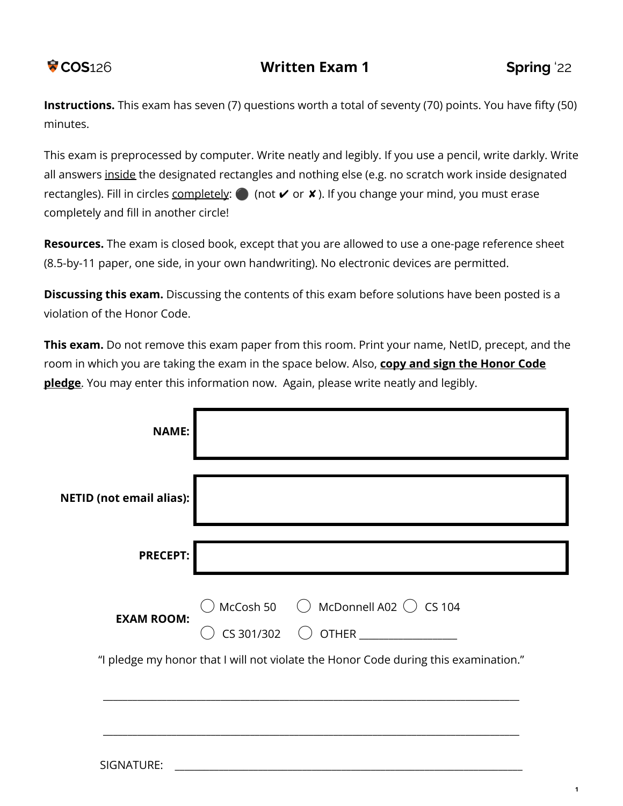

**Instructions.** This exam has seven (7) questions worth a total of seventy (70) points. You have fifty (50) minutes.

This exam is preprocessed by computer. Write neatly and legibly. If you use a pencil, write darkly. Write all answers inside the designated rectangles and nothing else (e.g. no scratch work inside designated rectangles). Fill in circles completely:  $\bigcirc$  (not  $\vee$  or  $\vee$ ). If you change your mind, you must erase completely and fill in another circle!

**Resources.** The exam is closed book, except that you are allowed to use a one-page reference sheet (8.5-by-11 paper, one side, in your own handwriting). No electronic devices are permitted.

**Discussing this exam.** Discussing the contents of this exam before solutions have been posted is a violation of the Honor Code.

**This exam.** Do not remove this exam paper from this room. Print your name, NetID, precept, and the room in which you are taking the exam in the space below. Also, **copy and sign the Honor Code pledge**. You may enter this information now. Again, please write neatly and legibly.

| <b>NAME:</b>                    |                                                                                     |
|---------------------------------|-------------------------------------------------------------------------------------|
| <b>NETID (not email alias):</b> |                                                                                     |
| <b>PRECEPT:</b>                 |                                                                                     |
| <b>EXAM ROOM:</b>               | McCosh 50<br>O McDonnell A02<br>O CS 104<br>$CS 301/302$ OTHER _______________      |
|                                 | "I pledge my honor that I will not violate the Honor Code during this examination." |
| SIGNATURE:                      |                                                                                     |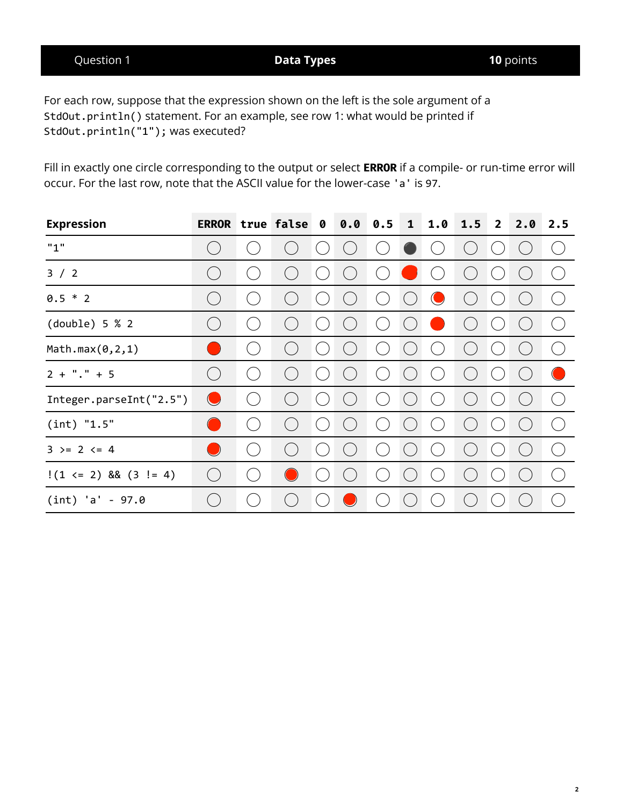Question 1 **Data Types 10** points

For each row, suppose that the expression shown on the left is the sole argument of a StdOut.println() statement. For an example, see row 1: what would be printed if StdOut.println("1"); was executed?

Fill in exactly one circle corresponding to the output or select **ERROR** if a compile- or run-time error will occur. For the last row, note that the ASCII value for the lower-case 'a' is 97.

| <b>Expression</b>          | <b>ERROR</b>  | true false             | 0 | 0.0 | 0.5 | $\mathbf{1}$ | 1.0                        | 1.5                                            | $\overline{2}$              | 2.0       | 2.5                                                            |
|----------------------------|---------------|------------------------|---|-----|-----|--------------|----------------------------|------------------------------------------------|-----------------------------|-----------|----------------------------------------------------------------|
| "1"                        |               |                        |   |     |     |              | $\left($                   | $\begin{pmatrix} 1 & 1 \\ 1 & 1 \end{pmatrix}$ | $\left($                    | $(\quad)$ | $(\ )$                                                         |
| 3 / 2                      | $\mathcal{L}$ |                        |   |     |     |              |                            | $\left($                                       |                             |           | (                                                              |
| $0.5 * 2$                  |               |                        |   |     |     |              |                            |                                                |                             |           | $\left(\begin{array}{c} \lambda \\ \lambda \end{array}\right)$ |
| $(double)$ 5 % 2           |               |                        |   |     |     |              |                            |                                                |                             |           | (                                                              |
| Math.max(0, 2, 1)          |               |                        |   |     |     |              |                            |                                                |                             |           | (                                                              |
| $2 + "." + 5$              | $\mathcal{L}$ |                        |   |     |     |              | $\mathbf{C}(\mathbb{R}^d)$ | ( )                                            | $\mathcal{C}^{\mathcal{A}}$ |           | $\bigcirc$                                                     |
| Integer.parseInt("2.5")    | $\bigcirc$    | $\left( \quad \right)$ |   |     |     |              |                            | $\begin{pmatrix} 1 & 1 \\ 1 & 1 \end{pmatrix}$ | $\mathcal{L}$               |           | (                                                              |
| (int) "1.5"                |               |                        |   |     |     |              |                            | $\left($                                       |                             |           | $\binom{2}{1}$                                                 |
| $3 \ge 2 \le 4$            |               |                        |   |     |     |              |                            |                                                |                             |           | (                                                              |
| $!(1 \le 2)$ && $(3 != 4)$ | $(\Box$       |                        |   |     |     |              |                            |                                                |                             |           | (                                                              |
| $(int) 'a' - 97.0$         |               |                        |   |     |     |              |                            |                                                |                             |           | $\left($ $\right)$                                             |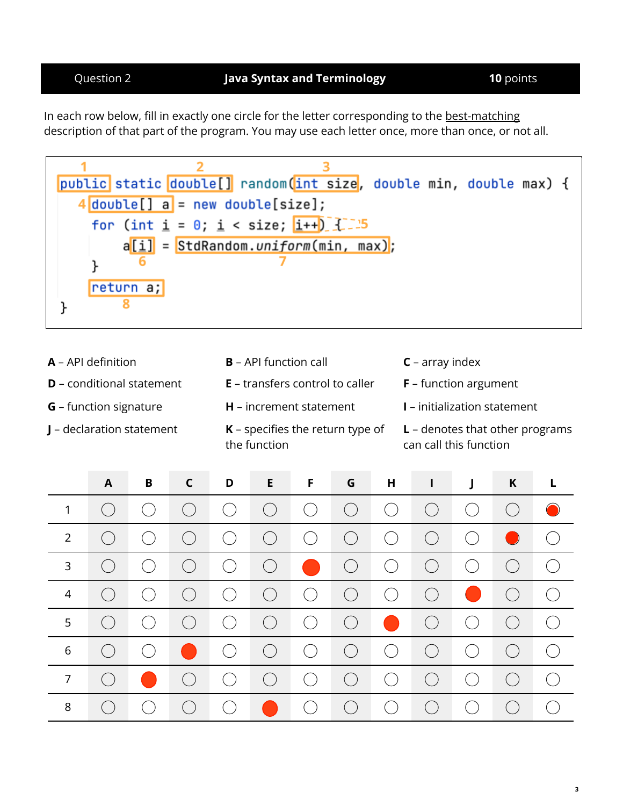In each row below, fill in exactly one circle for the letter corresponding to the best-matching description of that part of the program. You may use each letter once, more than once, or not all.



**A** – API definition **B** – API function call **C** – array index **D** – conditional statement **E** – transfers control to caller **F** – function argument **G** – function signature **H** – increment statement **I** – initialization statement **J** – declaration statement **K** – specifies the return type of the function **L** – denotes that other programs can call this function

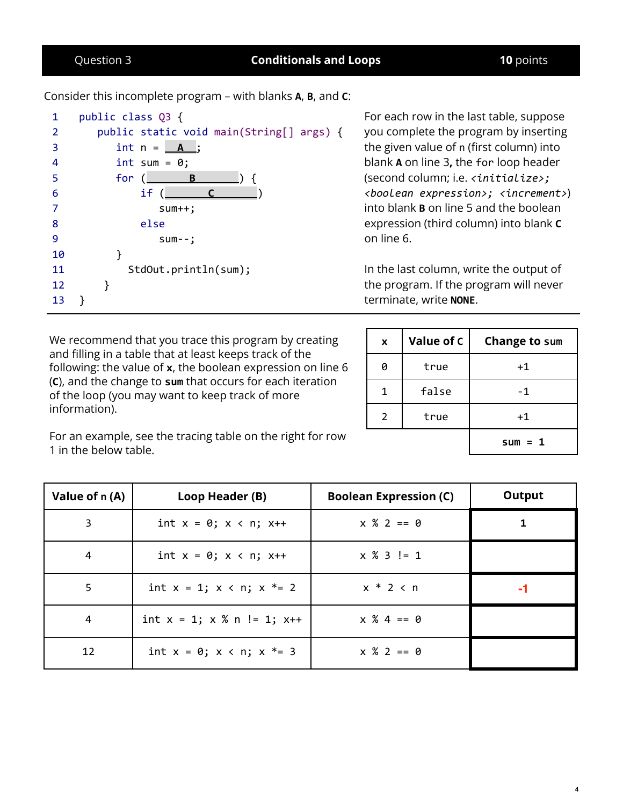# Question 3 **Conditionals and Loops 10** points

Consider this incomplete program – with blanks **A**, **B**, and **C**:

```
1
2
3
4
5
6
7
8
9
10
11
12
13
    public class Q3 {
      public static void main(String[] args) {
         int n = \_A;
         int sum = 0;for ( B ) {
             if ( C )
                sum++;
             else
                sum--;
         }
           StdOut.println(sum);
       }
   }
```
For each row in the last table, suppose you complete the program by inserting the given value of n (first column) into blank **A** on line 3**,** the for loop header (second column; i.e. *<initialize>; <boolean expression>; <increment>*) into blank **B** on line 5 and the boolean expression (third column) into blank **C** on line 6.

In the last column, write the output of the program. If the program will never terminate, write **NONE**.

| We recommend that you trace this program by creating           |
|----------------------------------------------------------------|
| and filling in a table that at least keeps track of the        |
| following: the value of $x$ , the boolean expression on line 6 |
| (C), and the change to sum that occurs for each iteration      |
| of the loop (you may want to keep track of more                |
| information).                                                  |

| X | Value of C | <b>Change to sum</b> |
|---|------------|----------------------|
| Ø | true       | +1                   |
|   | false      | -1                   |
| 2 | true       | $+1$                 |
|   |            | $sum = 1$            |

For an example, see the tracing table on the right for row 1 in the below table.

| Value of n (A) | Loop Header (B)                    | <b>Boolean Expression (C)</b> | Output |
|----------------|------------------------------------|-------------------------------|--------|
| 3              | int $x = 0$ ; $x < n$ ; $x++$      | $x % 2 == 0$                  | 1      |
| $\overline{4}$ | int $x = 0$ ; $x < n$ ; $x++$      | $x % 3 != 1$                  |        |
| 5              | int $x = 1$ ; $x < n$ ; $x * = 2$  | $x * 2 < n$                   | -1     |
| 4              | int $x = 1$ ; $x % n != 1$ ; $x++$ | $x % 4 == 0$                  |        |
| 12             | int $x = 0$ ; $x < n$ ; $x * = 3$  | $x % 2 == 0$                  |        |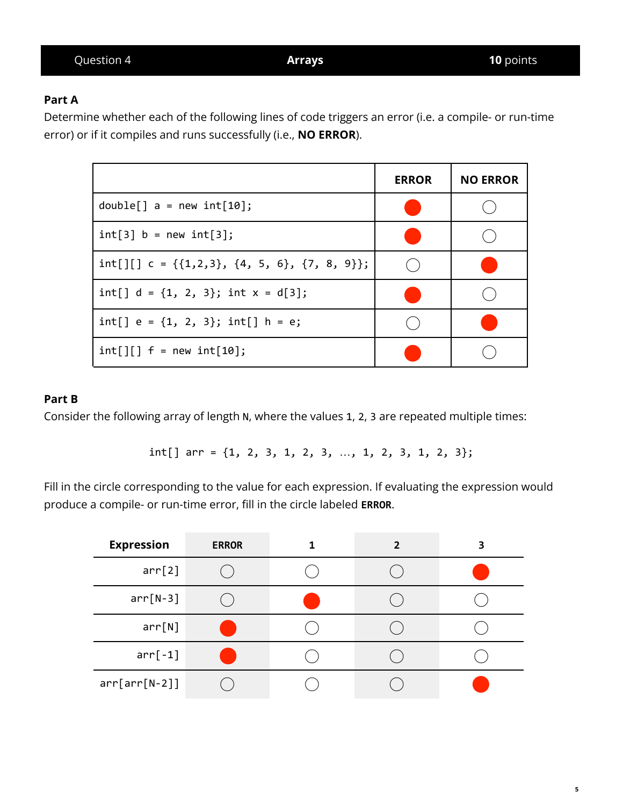# **Part A**

Determine whether each of the following lines of code triggers an error (i.e. a compile- or run-time error) or if it compiles and runs successfully (i.e., **NO ERROR**).

|                                                        | <b>ERROR</b> | <b>NO ERROR</b> |
|--------------------------------------------------------|--------------|-----------------|
| $double[] a = new int[10];$                            |              |                 |
| $int[3]$ b = new $int[3]$ ;                            |              |                 |
| int[][] $c = \{\{1,2,3\}, \{4, 5, 6\}, \{7, 8, 9\}\};$ |              |                 |
| int[] $d = \{1, 2, 3\}$ ; int $x = d[3]$ ;             |              |                 |
| int[] $e = \{1, 2, 3\}$ ; int[] $h = e$ ;              |              |                 |
| $int[]$ $f = new int[10]$ ;                            |              |                 |

# **Part B**

Consider the following array of length N, where the values 1, 2, 3 are repeated multiple times:

int[] arr = {1, 2, 3, 1, 2, 3, …, 1, 2, 3, 1, 2, 3};

Fill in the circle corresponding to the value for each expression. If evaluating the expression would produce a compile- or run-time error, fill in the circle labeled **ERROR**.

| <b>Expression</b> | <b>ERROR</b> | $\overline{2}$ | 3 |
|-------------------|--------------|----------------|---|
| arr[2]            |              |                |   |
| $arr[N-3]$        |              |                |   |
| arr[N]            |              |                |   |
| $arr[-1]$         |              |                |   |
| $arr[arr[N-2]]$   |              |                |   |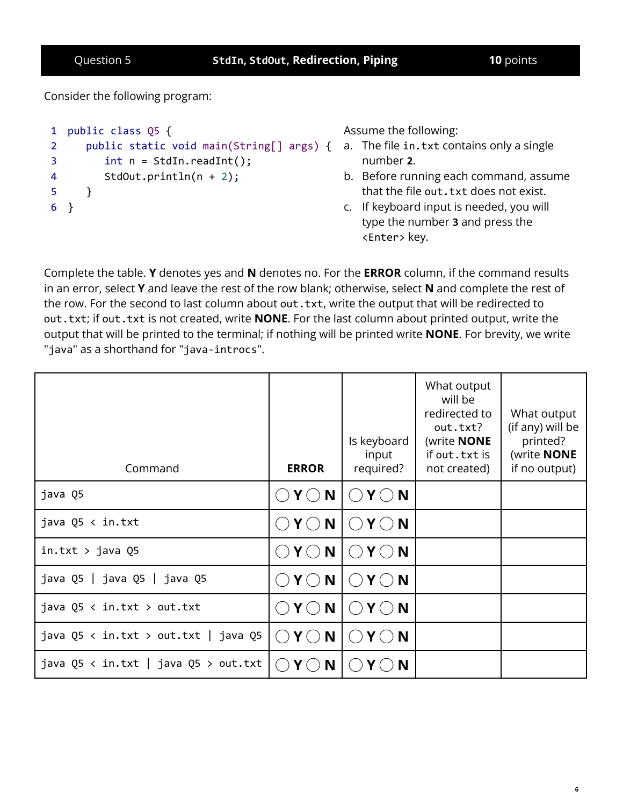Consider the following program:

```
1
public class Q5 {
2
3
4
5
6
}
      public static void main(String[] args) {
a. The file in.txt contains only a single
          int n = \text{StdIn}.\text{readInt}();
          StdOut.println(n + 2);
      }
```
Assume the following:

- number **2**.
- b. Before running each command, assume that the file out. txt does not exist.
- c. If keyboard input is needed, you will type the number **3** and press the <Enter> key.

Complete the table. **Y** denotes yes and **N** denotes no. For the **ERROR** column, if the command results in an error, select **Y** and leave the rest of the row blank; otherwise, select **N** and complete the rest of the row. For the second to last column about out.txt, write the output that will be redirected to out.txt; if out.txt is not created, write **NONE**. For the last column about printed output, write the output that will be printed to the terminal; if nothing will be printed write **NONE**. For brevity, we write "java" as a shorthand for "java-introcs".

| Command                              | <b>ERROR</b>                                 | Is keyboard<br>input<br>required?                             | What output<br>will be<br>redirected to<br>out.txt?<br>(write <b>NONE</b><br>if out.txt is<br>not created) | What output<br>(if any) will be<br>printed?<br>(write <b>NONE</b><br>if no output) |
|--------------------------------------|----------------------------------------------|---------------------------------------------------------------|------------------------------------------------------------------------------------------------------------|------------------------------------------------------------------------------------|
| java Q5                              | $Y \bigcirc N$                               | $\bigcirc$ Y $\bigcirc$ N                                     |                                                                                                            |                                                                                    |
| java Q5 < in.txt                     | $Y \bigcirc N$                               | $Y \bigcirc N$<br>( )                                         |                                                                                                            |                                                                                    |
| $in.txt$ > java Q5                   | Y()N                                         | $\bigcirc$ Y $\bigcirc$ N                                     |                                                                                                            |                                                                                    |
| java Q5   java Q5   java Q5          | N<br>Y()                                     | $\bigcirc$ Y $\bigcirc$ N                                     |                                                                                                            |                                                                                    |
| java $Q5 \leq in.txt$ > out.txt      | Y()N                                         | $Y \bigcirc N$<br>$\left(\begin{array}{c} \end{array}\right)$ |                                                                                                            |                                                                                    |
| java Q5 < in.txt > out.txt   java Q5 | N<br>$\mathsf{Y}\left(\cdot\right)$<br>$($ ) | $Y \bigcirc N$<br>$($ )                                       |                                                                                                            |                                                                                    |
| java Q5 < in.txt   java Q5 > out.txt | N<br>$\left($                                | N                                                             |                                                                                                            |                                                                                    |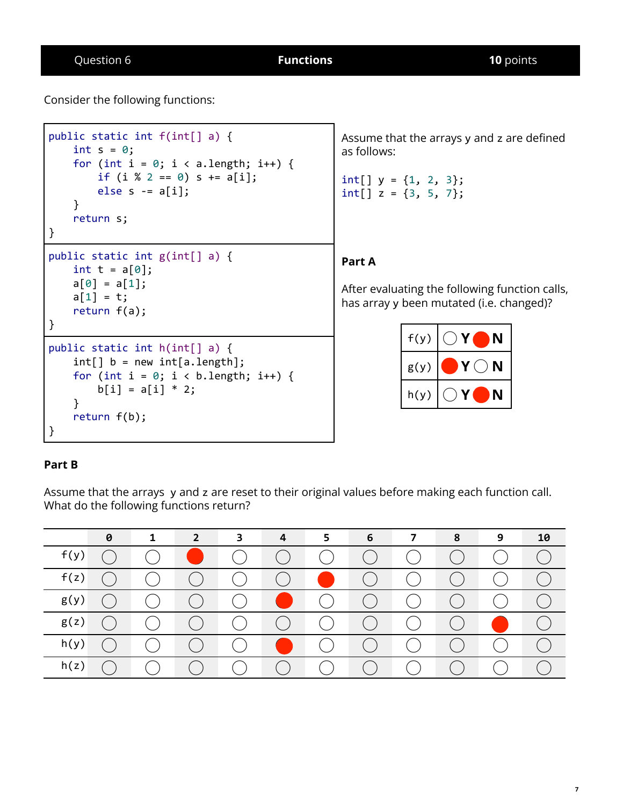Consider the following functions:

```
public static int f(int[] a) {
    int s = 0;
    for (int i = 0; i < a. length; i++) {
        if (i \ 8 \ 2 == 0) \ s += a[i];else s = a[i];}
    return s;
}
public static int g(int[] a) {
    int t = a[0];
    a[0] = a[1];a[1] = t;return f(a);
}
public static int h(int[] a) {
    int[] b = new int[a.length];for (int i = 0; i < b. length; i++) {
        b[i] = a[i] * 2;}
    return f(b);
}
```
Assume that the arrays y and z are defined as follows:

int[]  $y = \{1, 2, 3\};$  $int[] z = {3, 5, 7};$ 

# **Part A**

After evaluating the following function calls, has array y been mutated (i.e. changed)?

| f(y) | N |
|------|---|
| g(y) | N |
| h(y) | N |

### **Part B**

Assume that the arrays y and z are reset to their original values before making each function call. What do the following functions return?

|      | 0 | 1 | $2^{\circ}$ | 3                         | 4               | 5. | 6 | $\overline{7}$ | 8 | 9 | 10 |
|------|---|---|-------------|---------------------------|-----------------|----|---|----------------|---|---|----|
| f(y) |   |   |             |                           |                 |    |   |                |   |   |    |
| f(z) |   |   |             |                           |                 |    |   |                |   |   |    |
| g(y) |   |   |             |                           |                 |    |   |                |   |   |    |
| g(z) |   |   |             |                           |                 |    |   |                |   |   |    |
| h(y) |   |   |             |                           |                 |    |   |                |   |   |    |
| h(z) |   |   |             | $\mathbf{U} = \mathbf{I}$ | <b>Contract</b> |    |   |                |   |   |    |